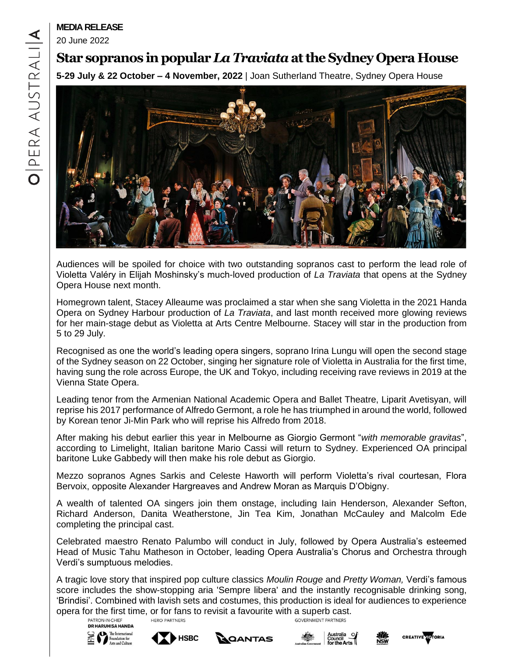# **MEDIA RELEASE**

20 June 2022

# **Star sopranos in popular** *La Traviata***atthe Sydney Opera House**

**5-29 July & 22 October – 4 November, 2022** | Joan Sutherland Theatre, Sydney Opera House



Audiences will be spoiled for choice with two outstanding sopranos cast to perform the lead role of Violetta Valéry in Elijah Moshinsky's much-loved production of *La Traviata* that opens at the Sydney Opera House next month.

Homegrown talent, Stacey Alleaume was proclaimed a star when she sang Violetta in the 2021 Handa Opera on Sydney Harbour production of *La Traviata*, and last month received more glowing reviews for her main-stage debut as Violetta at Arts Centre Melbourne. Stacey will star in the production from 5 to 29 July.

Recognised as one the world's leading opera singers, soprano Irina Lungu will open the second stage of the Sydney season on 22 October, singing her signature role of Violetta in Australia for the first time, having sung the role across Europe, the UK and Tokyo, including receiving rave reviews in 2019 at the Vienna State Opera.

Leading tenor from the Armenian National Academic Opera and Ballet Theatre, Liparit Avetisyan, will reprise his 2017 performance of Alfredo Germont, a role he has triumphed in around the world, followed by Korean tenor Ji-Min Park who will reprise his Alfredo from 2018.

After making his debut earlier this year in Melbourne as Giorgio Germont "*with memorable gravitas*", according to Limelight, Italian baritone Mario Cassi will return to Sydney. Experienced OA principal baritone Luke Gabbedy will then make his role debut as Giorgio.

Mezzo sopranos Agnes Sarkis and Celeste Haworth will perform Violetta's rival courtesan, Flora Bervoix, opposite Alexander Hargreaves and Andrew Moran as Marquis D'Obigny.

A wealth of talented OA singers join them onstage, including Iain Henderson, Alexander Sefton, Richard Anderson, Danita Weatherstone, Jin Tea Kim, Jonathan McCauley and Malcolm Ede completing the principal cast.

Celebrated maestro Renato Palumbo will conduct in July, followed by Opera Australia's esteemed Head of Music Tahu Matheson in October, leading Opera Australia's Chorus and Orchestra through Verdi's sumptuous melodies.

A tragic love story that inspired pop culture classics *Moulin Rouge* and *Pretty Woman,* Verdi's famous score includes the show-stopping aria 'Sempre libera' and the instantly recognisable drinking song, 'Brindisi'. Combined with lavish sets and costumes, this production is ideal for audiences to experience opera for the first time, or for fans to revisit a favourite with a superb cast.<br>
<sup>PATRON-INCHIEF</sup> **HERO PARTNERS GOVERNMENT PARTNERS** 

**DR HARUHISA HANDA** The International

 $rad$  Culture